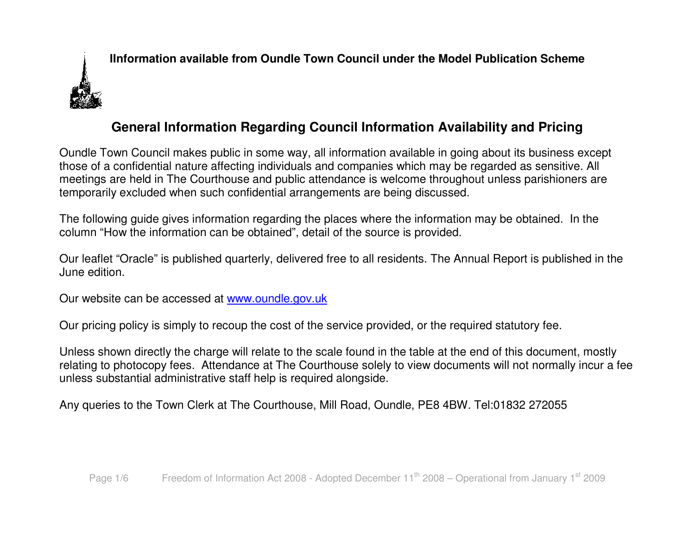

# **General Information Regarding Council Information Availability and Pricing**

Oundle Town Council makes public in some way, all information available in going about its business except those of a confidential nature affecting individuals and companies which may be regarded as sensitive. All meetings are held in The Courthouse and public attendance is welcome throughout unless parishioners are temporarily excluded when such confidential arrangements are being discussed.

The following guide gives information regarding the places where the information may be obtained. In the column "How the information can be obtained", detail of the source is provided.

Our leaflet "Oracle" is published quarterly, delivered free to all residents. The Annual Report is published in the June edition.

Our website can be accessed at www.oundle.gov.uk

Our pricing policy is simply to recoup the cost of the service provided, or the required statutory fee.

Unless shown directly the charge will relate to the scale found in the table at the end of this document, mostly relating to photocopy fees. Attendance at The Courthouse solely to view documents will not normally incur a fee unless substantial administrative staff help is required alongside.

Any queries to the Town Clerk at The Courthouse, Mill Road, Oundle, PE8 4BW. Tel:01832 272055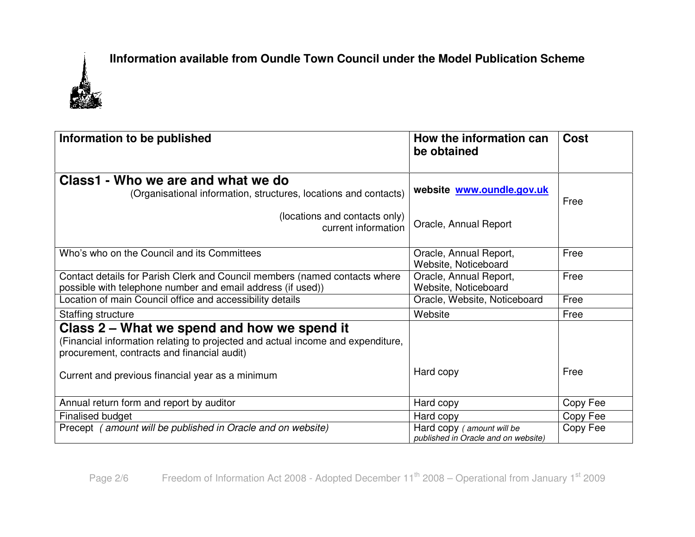

| Information to be published                                                                                                               | How the information can                                          | <b>Cost</b> |
|-------------------------------------------------------------------------------------------------------------------------------------------|------------------------------------------------------------------|-------------|
|                                                                                                                                           | be obtained                                                      |             |
| Class1 - Who we are and what we do<br>(Organisational information, structures, locations and contacts)                                    | website www.oundle.gov.uk                                        | Free        |
| (locations and contacts only)<br>current information                                                                                      | Oracle, Annual Report                                            |             |
| Who's who on the Council and its Committees                                                                                               | Oracle, Annual Report,<br>Website, Noticeboard                   | Free        |
| Contact details for Parish Clerk and Council members (named contacts where<br>possible with telephone number and email address (if used)) | Oracle, Annual Report,<br>Website, Noticeboard                   | Free        |
| Location of main Council office and accessibility details                                                                                 | Oracle, Website, Noticeboard                                     | Free        |
| Staffing structure                                                                                                                        | Website                                                          | Free        |
| Class 2 – What we spend and how we spend it                                                                                               |                                                                  |             |
| (Financial information relating to projected and actual income and expenditure,<br>procurement, contracts and financial audit)            |                                                                  |             |
| Current and previous financial year as a minimum                                                                                          | Hard copy                                                        | Free        |
| Annual return form and report by auditor                                                                                                  | Hard copy                                                        | Copy Fee    |
| Finalised budget                                                                                                                          | Hard copy                                                        | Copy Fee    |
| Precept (amount will be published in Oracle and on website)                                                                               | Hard copy (amount will be<br>published in Oracle and on website) | Copy Fee    |

Page 2/6  $\blacksquare$  Freedom of Information Act 2008 - Adopted December 11<sup>th</sup> 2008 – Operational from January 1<sup>st</sup> 2009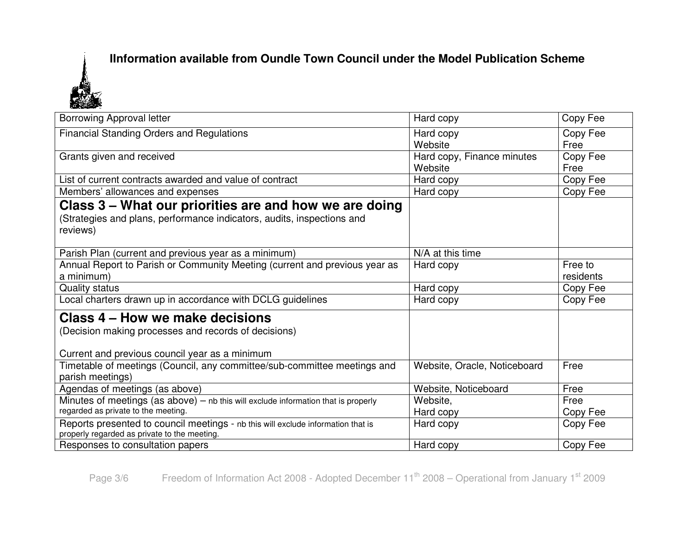

| <b>Borrowing Approval letter</b>                                                                                                 | Hard copy                             | Copy Fee             |
|----------------------------------------------------------------------------------------------------------------------------------|---------------------------------------|----------------------|
| <b>Financial Standing Orders and Regulations</b>                                                                                 | Hard copy<br>Website                  | Copy Fee<br>Free     |
| Grants given and received                                                                                                        | Hard copy, Finance minutes<br>Website | Copy Fee<br>Free     |
| List of current contracts awarded and value of contract                                                                          | Hard copy                             | Copy Fee             |
| Members' allowances and expenses                                                                                                 | Hard copy                             | Copy Fee             |
| Class 3 – What our priorities are and how we are doing                                                                           |                                       |                      |
| (Strategies and plans, performance indicators, audits, inspections and<br>reviews)                                               |                                       |                      |
| Parish Plan (current and previous year as a minimum)                                                                             | N/A at this time                      |                      |
| Annual Report to Parish or Community Meeting (current and previous year as<br>a minimum)                                         | Hard copy                             | Free to<br>residents |
| <b>Quality status</b>                                                                                                            | Hard copy                             | Copy Fee             |
| Local charters drawn up in accordance with DCLG guidelines                                                                       | Hard copy                             | Copy Fee             |
| Class 4 – How we make decisions                                                                                                  |                                       |                      |
| (Decision making processes and records of decisions)                                                                             |                                       |                      |
| Current and previous council year as a minimum                                                                                   |                                       |                      |
| Timetable of meetings (Council, any committee/sub-committee meetings and<br>parish meetings)                                     | Website, Oracle, Noticeboard          | Free                 |
| Agendas of meetings (as above)                                                                                                   | Website, Noticeboard                  | Free                 |
| Minutes of meetings (as above) $-$ nb this will exclude information that is properly                                             | Website,                              | Free                 |
| regarded as private to the meeting.                                                                                              | Hard copy                             | Copy Fee             |
| Reports presented to council meetings - nb this will exclude information that is<br>properly regarded as private to the meeting. | Hard copy                             | Copy Fee             |
| Responses to consultation papers                                                                                                 | Hard copy                             | Copy Fee             |

Page 3/6 Freedom of Information Act 2008 - Adopted December 11<sup>th</sup> 2008 – Operational from January 1<sup>st</sup> 2009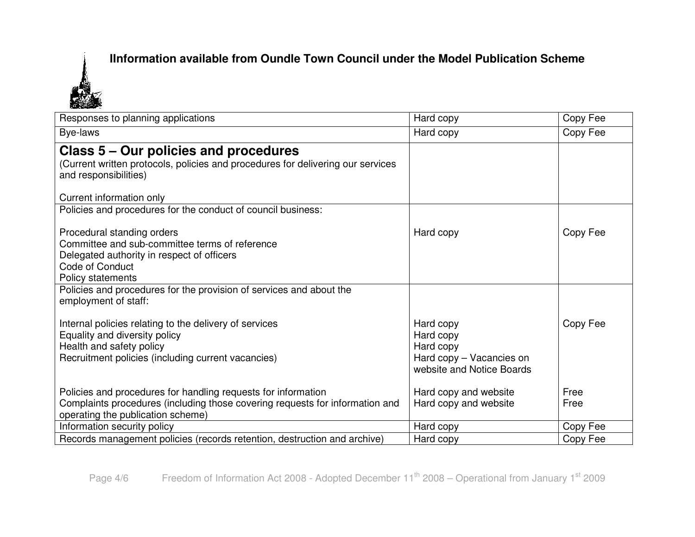

| Responses to planning applications                                              | Hard copy                 | Copy Fee |
|---------------------------------------------------------------------------------|---------------------------|----------|
| Bye-laws                                                                        | Hard copy                 | Copy Fee |
| Class 5 – Our policies and procedures                                           |                           |          |
| (Current written protocols, policies and procedures for delivering our services |                           |          |
| and responsibilities)                                                           |                           |          |
|                                                                                 |                           |          |
| Current information only                                                        |                           |          |
| Policies and procedures for the conduct of council business:                    |                           |          |
| Procedural standing orders                                                      | Hard copy                 | Copy Fee |
| Committee and sub-committee terms of reference                                  |                           |          |
| Delegated authority in respect of officers                                      |                           |          |
| Code of Conduct                                                                 |                           |          |
| Policy statements                                                               |                           |          |
| Policies and procedures for the provision of services and about the             |                           |          |
| employment of staff:                                                            |                           |          |
|                                                                                 |                           |          |
| Internal policies relating to the delivery of services                          | Hard copy                 | Copy Fee |
| Equality and diversity policy                                                   | Hard copy                 |          |
| Health and safety policy                                                        | Hard copy                 |          |
| Recruitment policies (including current vacancies)                              | Hard copy - Vacancies on  |          |
|                                                                                 | website and Notice Boards |          |
|                                                                                 |                           |          |
| Policies and procedures for handling requests for information                   | Hard copy and website     | Free     |
| Complaints procedures (including those covering requests for information and    | Hard copy and website     | Free     |
| operating the publication scheme)                                               |                           |          |
| Information security policy                                                     | Hard copy                 | Copy Fee |
| Records management policies (records retention, destruction and archive)        | Hard copy                 | Copy Fee |

Page 4/6 Freedom of Information Act 2008 - Adopted December 11<sup>th</sup> 2008 – Operational from January 1<sup>st</sup> 2009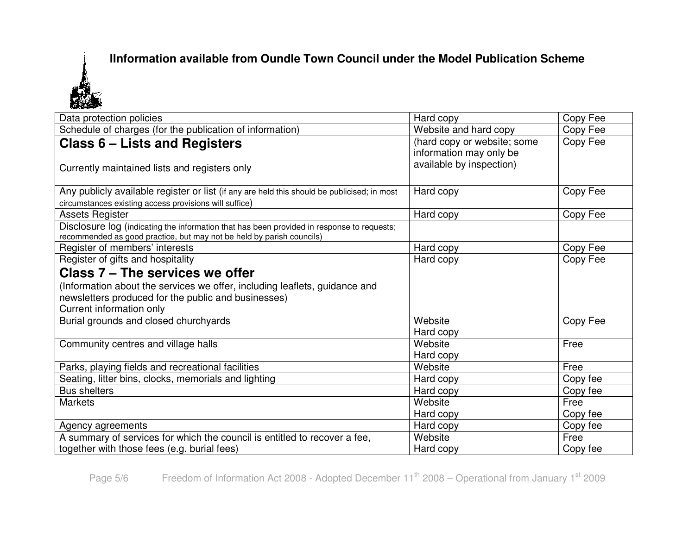

| Data protection policies                                                                                                                                            | Hard copy                                              | Copy Fee |
|---------------------------------------------------------------------------------------------------------------------------------------------------------------------|--------------------------------------------------------|----------|
| Schedule of charges (for the publication of information)                                                                                                            | Website and hard copy                                  | Copy Fee |
| Class 6 – Lists and Registers                                                                                                                                       | (hard copy or website; some<br>information may only be | Copy Fee |
| Currently maintained lists and registers only                                                                                                                       | available by inspection)                               |          |
| Any publicly available register or list (if any are held this should be publicised; in most<br>circumstances existing access provisions will suffice)               | Hard copy                                              | Copy Fee |
| Assets Register                                                                                                                                                     | Hard copy                                              | Copy Fee |
| Disclosure log (indicating the information that has been provided in response to requests;<br>recommended as good practice, but may not be held by parish councils) |                                                        |          |
| Register of members' interests                                                                                                                                      | Hard copy                                              | Copy Fee |
| Register of gifts and hospitality                                                                                                                                   | Hard copy                                              | Copy Fee |
| Class 7 – The services we offer                                                                                                                                     |                                                        |          |
| (Information about the services we offer, including leaflets, guidance and                                                                                          |                                                        |          |
| newsletters produced for the public and businesses)                                                                                                                 |                                                        |          |
| Current information only                                                                                                                                            |                                                        |          |
| Burial grounds and closed churchyards                                                                                                                               | Website                                                | Copy Fee |
|                                                                                                                                                                     | Hard copy                                              |          |
| Community centres and village halls                                                                                                                                 | Website                                                | Free     |
|                                                                                                                                                                     | Hard copy                                              |          |
| Parks, playing fields and recreational facilities                                                                                                                   | Website                                                | Free     |
| Seating, litter bins, clocks, memorials and lighting                                                                                                                | Hard copy                                              | Copy fee |
| <b>Bus shelters</b>                                                                                                                                                 | Hard copy                                              | Copy fee |
| <b>Markets</b>                                                                                                                                                      | Website                                                | Free     |
|                                                                                                                                                                     | Hard copy                                              | Copy fee |
| Agency agreements                                                                                                                                                   | Hard copy                                              | Copy fee |
| A summary of services for which the council is entitled to recover a fee,                                                                                           | Website                                                | Free     |
| together with those fees (e.g. burial fees)                                                                                                                         | Hard copy                                              | Copy fee |

Page 5/6 Freedom of Information Act 2008 - Adopted December 11<sup>th</sup> 2008 – Operational from January 1<sup>st</sup> 2009